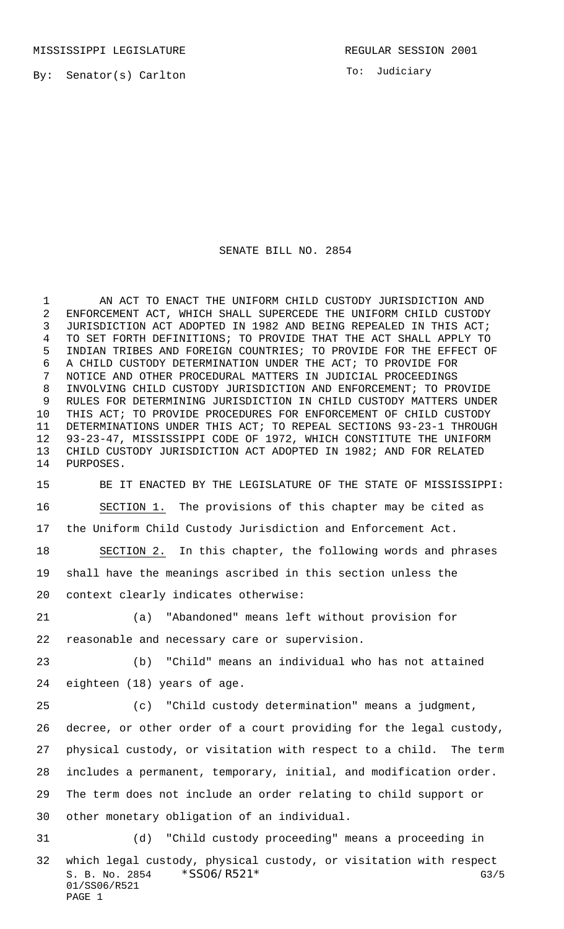MISSISSIPPI LEGISLATURE **REGULAR SESSION 2001** 

By: Senator(s) Carlton

To: Judiciary

## SENATE BILL NO. 2854

 AN ACT TO ENACT THE UNIFORM CHILD CUSTODY JURISDICTION AND ENFORCEMENT ACT, WHICH SHALL SUPERCEDE THE UNIFORM CHILD CUSTODY JURISDICTION ACT ADOPTED IN 1982 AND BEING REPEALED IN THIS ACT; TO SET FORTH DEFINITIONS; TO PROVIDE THAT THE ACT SHALL APPLY TO INDIAN TRIBES AND FOREIGN COUNTRIES; TO PROVIDE FOR THE EFFECT OF A CHILD CUSTODY DETERMINATION UNDER THE ACT; TO PROVIDE FOR NOTICE AND OTHER PROCEDURAL MATTERS IN JUDICIAL PROCEEDINGS INVOLVING CHILD CUSTODY JURISDICTION AND ENFORCEMENT; TO PROVIDE RULES FOR DETERMINING JURISDICTION IN CHILD CUSTODY MATTERS UNDER THIS ACT; TO PROVIDE PROCEDURES FOR ENFORCEMENT OF CHILD CUSTODY DETERMINATIONS UNDER THIS ACT; TO REPEAL SECTIONS 93-23-1 THROUGH 93-23-47, MISSISSIPPI CODE OF 1972, WHICH CONSTITUTE THE UNIFORM CHILD CUSTODY JURISDICTION ACT ADOPTED IN 1982; AND FOR RELATED PURPOSES.

 BE IT ENACTED BY THE LEGISLATURE OF THE STATE OF MISSISSIPPI: SECTION 1. The provisions of this chapter may be cited as the Uniform Child Custody Jurisdiction and Enforcement Act. SECTION 2. In this chapter, the following words and phrases

 shall have the meanings ascribed in this section unless the context clearly indicates otherwise:

 (a) "Abandoned" means left without provision for reasonable and necessary care or supervision.

 (b) "Child" means an individual who has not attained eighteen (18) years of age.

 (c) "Child custody determination" means a judgment, decree, or other order of a court providing for the legal custody, physical custody, or visitation with respect to a child. The term includes a permanent, temporary, initial, and modification order. The term does not include an order relating to child support or other monetary obligation of an individual.

S. B. No. 2854 \* SSO6/R521\* G3/5 01/SS06/R521 PAGE 1 (d) "Child custody proceeding" means a proceeding in which legal custody, physical custody, or visitation with respect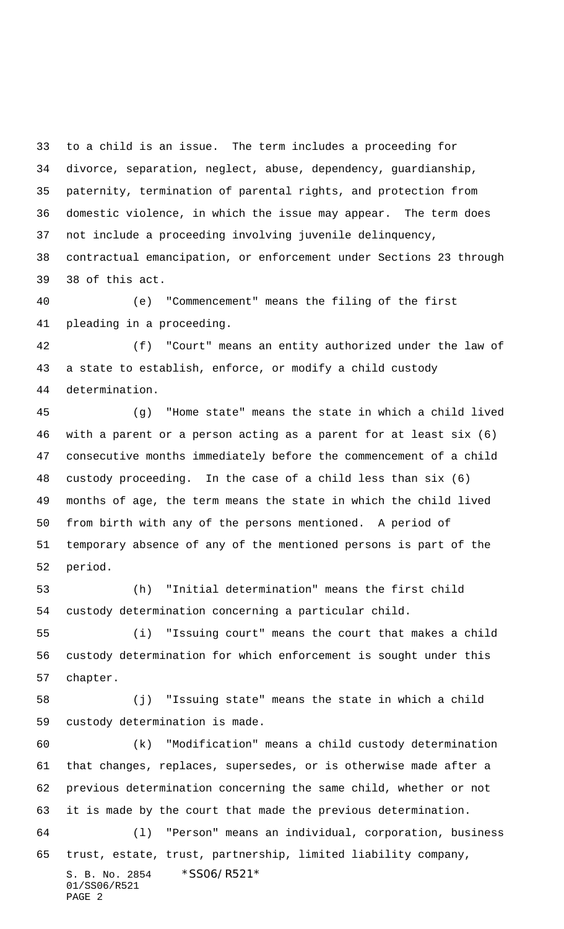to a child is an issue. The term includes a proceeding for divorce, separation, neglect, abuse, dependency, guardianship, paternity, termination of parental rights, and protection from domestic violence, in which the issue may appear. The term does not include a proceeding involving juvenile delinquency, contractual emancipation, or enforcement under Sections 23 through 38 of this act.

 (e) "Commencement" means the filing of the first pleading in a proceeding.

 (f) "Court" means an entity authorized under the law of a state to establish, enforce, or modify a child custody determination.

 (g) "Home state" means the state in which a child lived with a parent or a person acting as a parent for at least six (6) consecutive months immediately before the commencement of a child custody proceeding. In the case of a child less than six (6) months of age, the term means the state in which the child lived from birth with any of the persons mentioned. A period of temporary absence of any of the mentioned persons is part of the period.

 (h) "Initial determination" means the first child custody determination concerning a particular child.

 (i) "Issuing court" means the court that makes a child custody determination for which enforcement is sought under this chapter.

 (j) "Issuing state" means the state in which a child custody determination is made.

S. B. No. 2854 \* SS06/R521\* (k) "Modification" means a child custody determination that changes, replaces, supersedes, or is otherwise made after a previous determination concerning the same child, whether or not it is made by the court that made the previous determination. (l) "Person" means an individual, corporation, business trust, estate, trust, partnership, limited liability company,

01/SS06/R521 PAGE 2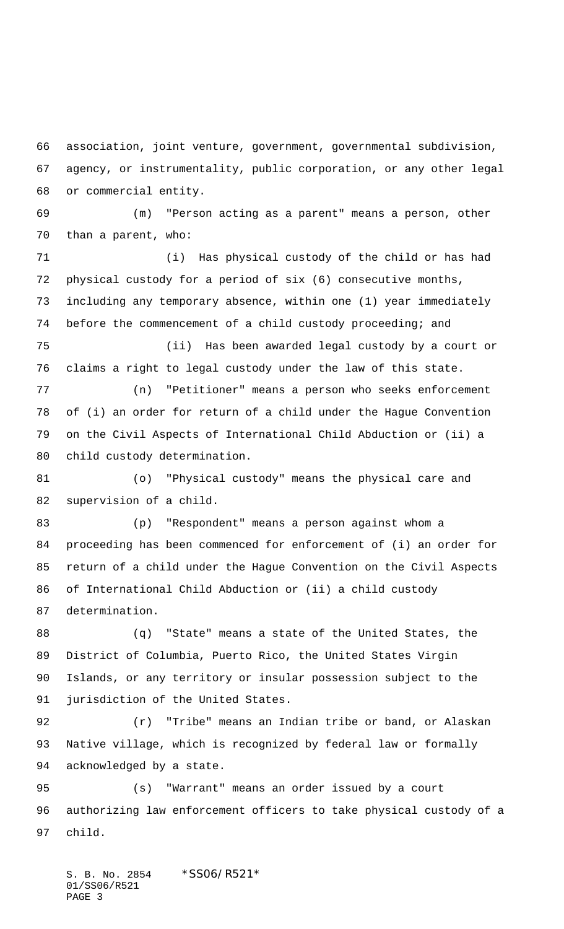association, joint venture, government, governmental subdivision, agency, or instrumentality, public corporation, or any other legal or commercial entity.

 (m) "Person acting as a parent" means a person, other than a parent, who:

 (i) Has physical custody of the child or has had physical custody for a period of six (6) consecutive months, including any temporary absence, within one (1) year immediately before the commencement of a child custody proceeding; and

 (ii) Has been awarded legal custody by a court or claims a right to legal custody under the law of this state.

 (n) "Petitioner" means a person who seeks enforcement of (i) an order for return of a child under the Hague Convention on the Civil Aspects of International Child Abduction or (ii) a child custody determination.

 (o) "Physical custody" means the physical care and supervision of a child.

 (p) "Respondent" means a person against whom a proceeding has been commenced for enforcement of (i) an order for return of a child under the Hague Convention on the Civil Aspects of International Child Abduction or (ii) a child custody determination.

 (q) "State" means a state of the United States, the District of Columbia, Puerto Rico, the United States Virgin Islands, or any territory or insular possession subject to the jurisdiction of the United States.

 (r) "Tribe" means an Indian tribe or band, or Alaskan Native village, which is recognized by federal law or formally acknowledged by a state.

 (s) "Warrant" means an order issued by a court authorizing law enforcement officers to take physical custody of a child.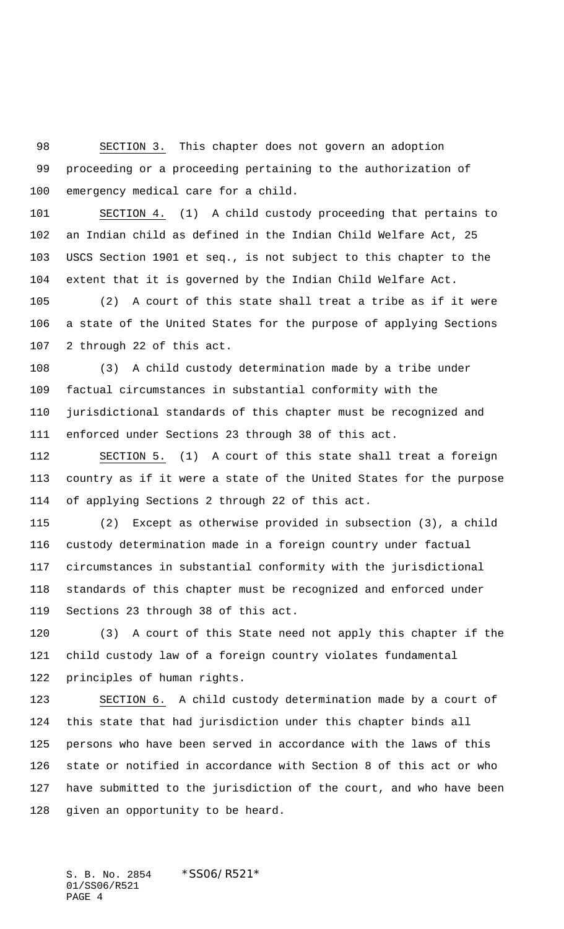SECTION 3. This chapter does not govern an adoption proceeding or a proceeding pertaining to the authorization of emergency medical care for a child.

 SECTION 4. (1) A child custody proceeding that pertains to an Indian child as defined in the Indian Child Welfare Act, 25 USCS Section 1901 et seq., is not subject to this chapter to the extent that it is governed by the Indian Child Welfare Act.

 (2) A court of this state shall treat a tribe as if it were a state of the United States for the purpose of applying Sections 2 through 22 of this act.

 (3) A child custody determination made by a tribe under factual circumstances in substantial conformity with the jurisdictional standards of this chapter must be recognized and enforced under Sections 23 through 38 of this act.

 SECTION 5. (1) A court of this state shall treat a foreign country as if it were a state of the United States for the purpose of applying Sections 2 through 22 of this act.

 (2) Except as otherwise provided in subsection (3), a child custody determination made in a foreign country under factual circumstances in substantial conformity with the jurisdictional standards of this chapter must be recognized and enforced under Sections 23 through 38 of this act.

 (3) A court of this State need not apply this chapter if the child custody law of a foreign country violates fundamental principles of human rights.

 SECTION 6. A child custody determination made by a court of this state that had jurisdiction under this chapter binds all persons who have been served in accordance with the laws of this state or notified in accordance with Section 8 of this act or who have submitted to the jurisdiction of the court, and who have been given an opportunity to be heard.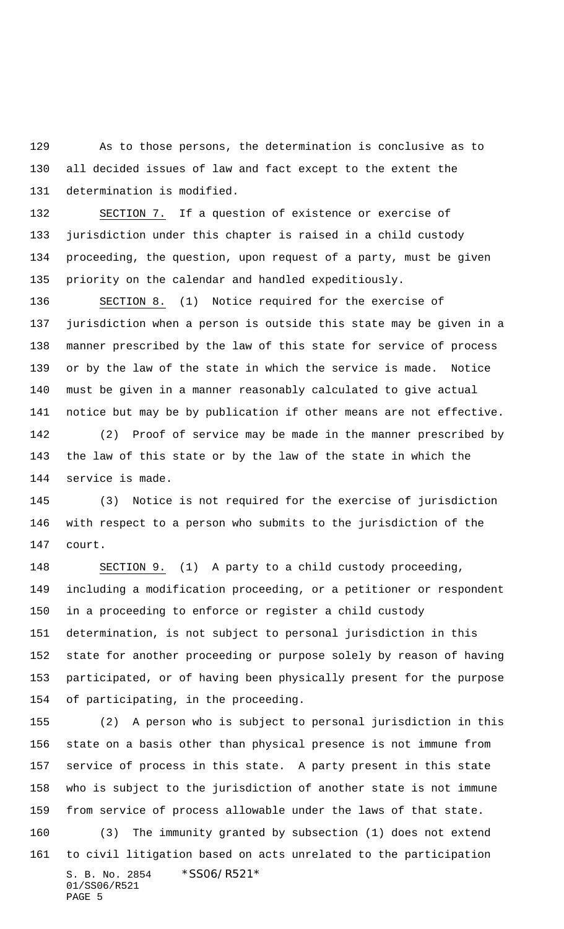As to those persons, the determination is conclusive as to all decided issues of law and fact except to the extent the determination is modified.

 SECTION 7. If a question of existence or exercise of jurisdiction under this chapter is raised in a child custody proceeding, the question, upon request of a party, must be given priority on the calendar and handled expeditiously.

 SECTION 8. (1) Notice required for the exercise of jurisdiction when a person is outside this state may be given in a manner prescribed by the law of this state for service of process or by the law of the state in which the service is made. Notice must be given in a manner reasonably calculated to give actual notice but may be by publication if other means are not effective. (2) Proof of service may be made in the manner prescribed by

 the law of this state or by the law of the state in which the service is made.

 (3) Notice is not required for the exercise of jurisdiction with respect to a person who submits to the jurisdiction of the court.

 SECTION 9. (1) A party to a child custody proceeding, including a modification proceeding, or a petitioner or respondent in a proceeding to enforce or register a child custody determination, is not subject to personal jurisdiction in this state for another proceeding or purpose solely by reason of having participated, or of having been physically present for the purpose of participating, in the proceeding.

S. B. No. 2854 \*SS06/R521\* 01/SS06/R521 PAGE 5 (2) A person who is subject to personal jurisdiction in this state on a basis other than physical presence is not immune from service of process in this state. A party present in this state who is subject to the jurisdiction of another state is not immune from service of process allowable under the laws of that state. (3) The immunity granted by subsection (1) does not extend to civil litigation based on acts unrelated to the participation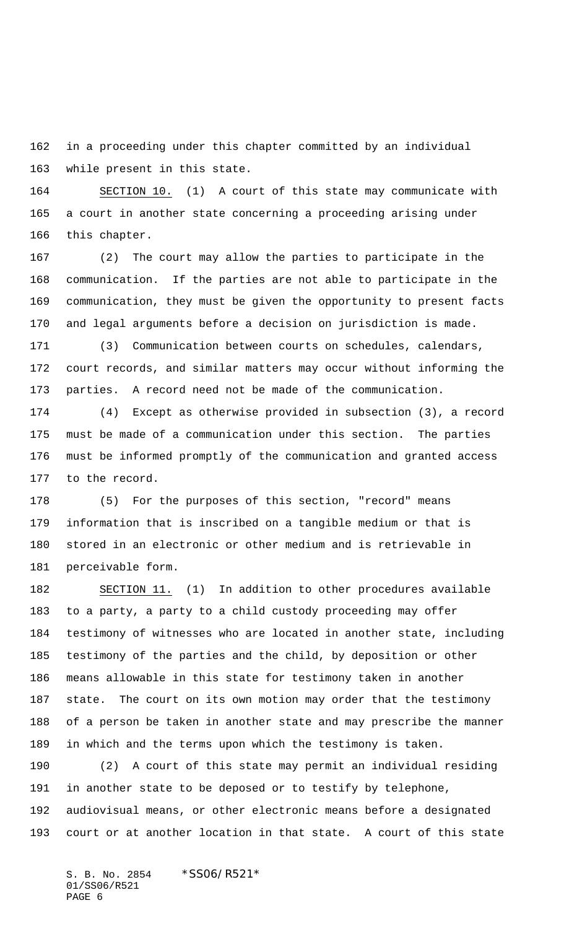in a proceeding under this chapter committed by an individual while present in this state.

 SECTION 10. (1) A court of this state may communicate with a court in another state concerning a proceeding arising under this chapter.

 (2) The court may allow the parties to participate in the communication. If the parties are not able to participate in the communication, they must be given the opportunity to present facts and legal arguments before a decision on jurisdiction is made.

 (3) Communication between courts on schedules, calendars, court records, and similar matters may occur without informing the parties. A record need not be made of the communication.

 (4) Except as otherwise provided in subsection (3), a record must be made of a communication under this section. The parties must be informed promptly of the communication and granted access to the record.

 (5) For the purposes of this section, "record" means information that is inscribed on a tangible medium or that is stored in an electronic or other medium and is retrievable in perceivable form.

 SECTION 11. (1) In addition to other procedures available to a party, a party to a child custody proceeding may offer testimony of witnesses who are located in another state, including testimony of the parties and the child, by deposition or other means allowable in this state for testimony taken in another state. The court on its own motion may order that the testimony of a person be taken in another state and may prescribe the manner in which and the terms upon which the testimony is taken.

 (2) A court of this state may permit an individual residing in another state to be deposed or to testify by telephone, audiovisual means, or other electronic means before a designated court or at another location in that state. A court of this state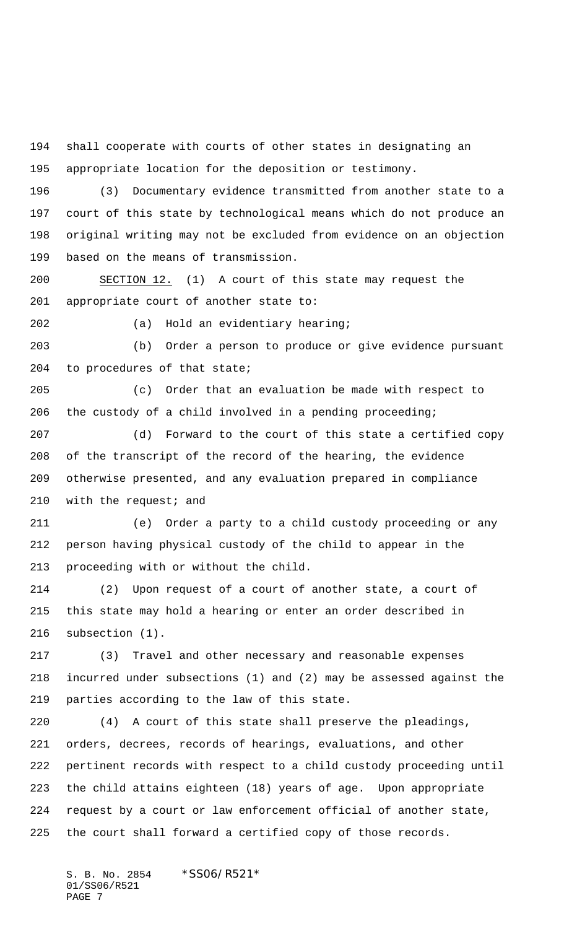shall cooperate with courts of other states in designating an appropriate location for the deposition or testimony.

 (3) Documentary evidence transmitted from another state to a court of this state by technological means which do not produce an original writing may not be excluded from evidence on an objection based on the means of transmission.

 SECTION 12. (1) A court of this state may request the appropriate court of another state to:

(a) Hold an evidentiary hearing;

 (b) Order a person to produce or give evidence pursuant to procedures of that state;

 (c) Order that an evaluation be made with respect to the custody of a child involved in a pending proceeding;

 (d) Forward to the court of this state a certified copy of the transcript of the record of the hearing, the evidence otherwise presented, and any evaluation prepared in compliance 210 with the request; and

 (e) Order a party to a child custody proceeding or any person having physical custody of the child to appear in the proceeding with or without the child.

 (2) Upon request of a court of another state, a court of this state may hold a hearing or enter an order described in subsection (1).

 (3) Travel and other necessary and reasonable expenses incurred under subsections (1) and (2) may be assessed against the parties according to the law of this state.

 (4) A court of this state shall preserve the pleadings, orders, decrees, records of hearings, evaluations, and other pertinent records with respect to a child custody proceeding until the child attains eighteen (18) years of age. Upon appropriate request by a court or law enforcement official of another state, the court shall forward a certified copy of those records.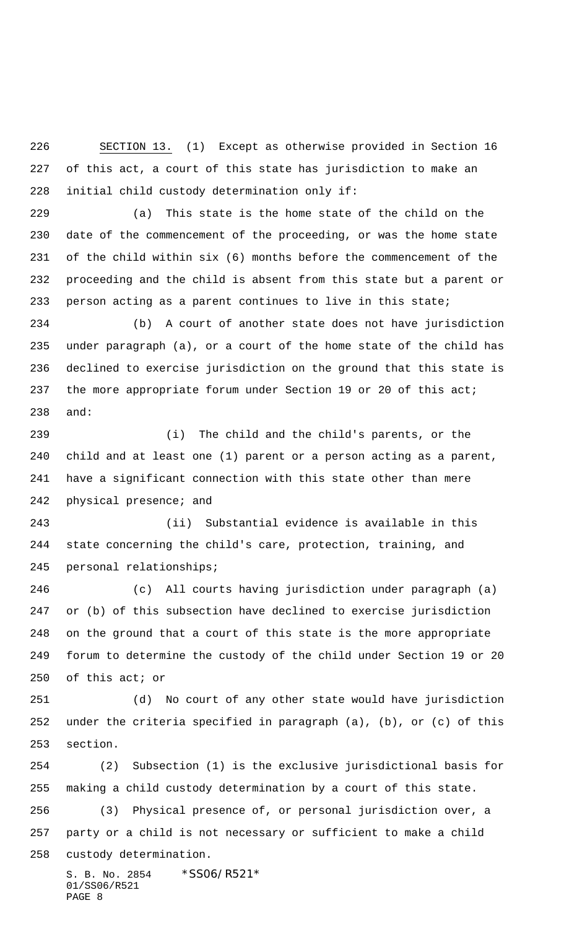SECTION 13. (1) Except as otherwise provided in Section 16 of this act, a court of this state has jurisdiction to make an initial child custody determination only if:

 (a) This state is the home state of the child on the date of the commencement of the proceeding, or was the home state of the child within six (6) months before the commencement of the proceeding and the child is absent from this state but a parent or person acting as a parent continues to live in this state;

 (b) A court of another state does not have jurisdiction under paragraph (a), or a court of the home state of the child has declined to exercise jurisdiction on the ground that this state is 237 the more appropriate forum under Section 19 or 20 of this act; and:

 (i) The child and the child's parents, or the child and at least one (1) parent or a person acting as a parent, have a significant connection with this state other than mere physical presence; and

 (ii) Substantial evidence is available in this state concerning the child's care, protection, training, and personal relationships;

 (c) All courts having jurisdiction under paragraph (a) or (b) of this subsection have declined to exercise jurisdiction on the ground that a court of this state is the more appropriate forum to determine the custody of the child under Section 19 or 20 of this act; or

 (d) No court of any other state would have jurisdiction under the criteria specified in paragraph (a), (b), or (c) of this section.

S. B. No. 2854 \* SS06/R521\* (2) Subsection (1) is the exclusive jurisdictional basis for making a child custody determination by a court of this state. (3) Physical presence of, or personal jurisdiction over, a party or a child is not necessary or sufficient to make a child custody determination.

01/SS06/R521 PAGE 8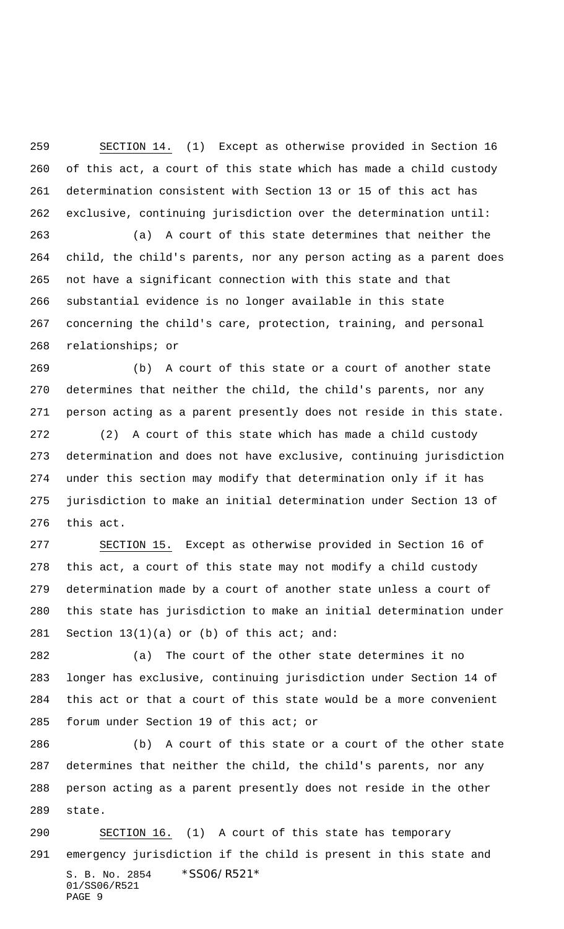SECTION 14. (1) Except as otherwise provided in Section 16 of this act, a court of this state which has made a child custody determination consistent with Section 13 or 15 of this act has exclusive, continuing jurisdiction over the determination until:

 (a) A court of this state determines that neither the child, the child's parents, nor any person acting as a parent does not have a significant connection with this state and that substantial evidence is no longer available in this state concerning the child's care, protection, training, and personal relationships; or

 (b) A court of this state or a court of another state determines that neither the child, the child's parents, nor any person acting as a parent presently does not reside in this state.

 (2) A court of this state which has made a child custody determination and does not have exclusive, continuing jurisdiction under this section may modify that determination only if it has jurisdiction to make an initial determination under Section 13 of this act.

 SECTION 15. Except as otherwise provided in Section 16 of this act, a court of this state may not modify a child custody determination made by a court of another state unless a court of this state has jurisdiction to make an initial determination under 281 Section  $13(1)(a)$  or (b) of this act; and:

 (a) The court of the other state determines it no longer has exclusive, continuing jurisdiction under Section 14 of this act or that a court of this state would be a more convenient forum under Section 19 of this act; or

 (b) A court of this state or a court of the other state determines that neither the child, the child's parents, nor any person acting as a parent presently does not reside in the other state.

S. B. No. 2854 \*SS06/R521\* 01/SS06/R521 PAGE 9 SECTION 16. (1) A court of this state has temporary emergency jurisdiction if the child is present in this state and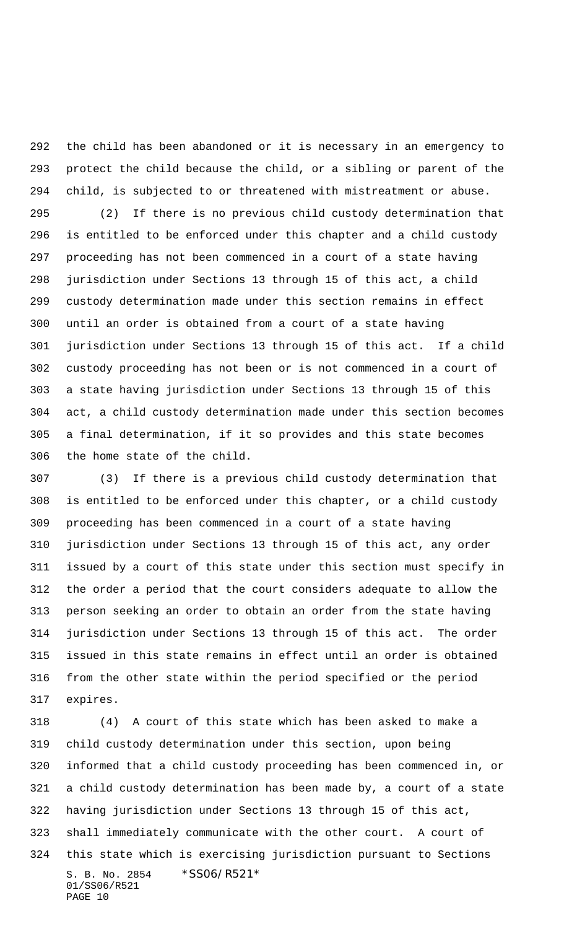the child has been abandoned or it is necessary in an emergency to protect the child because the child, or a sibling or parent of the child, is subjected to or threatened with mistreatment or abuse.

 (2) If there is no previous child custody determination that is entitled to be enforced under this chapter and a child custody proceeding has not been commenced in a court of a state having jurisdiction under Sections 13 through 15 of this act, a child custody determination made under this section remains in effect until an order is obtained from a court of a state having jurisdiction under Sections 13 through 15 of this act. If a child custody proceeding has not been or is not commenced in a court of a state having jurisdiction under Sections 13 through 15 of this act, a child custody determination made under this section becomes a final determination, if it so provides and this state becomes the home state of the child.

 (3) If there is a previous child custody determination that is entitled to be enforced under this chapter, or a child custody proceeding has been commenced in a court of a state having jurisdiction under Sections 13 through 15 of this act, any order issued by a court of this state under this section must specify in the order a period that the court considers adequate to allow the person seeking an order to obtain an order from the state having jurisdiction under Sections 13 through 15 of this act. The order issued in this state remains in effect until an order is obtained from the other state within the period specified or the period expires.

S. B. No. 2854 \* SS06/R521\* 01/SS06/R521 PAGE 10 (4) A court of this state which has been asked to make a child custody determination under this section, upon being informed that a child custody proceeding has been commenced in, or a child custody determination has been made by, a court of a state having jurisdiction under Sections 13 through 15 of this act, shall immediately communicate with the other court. A court of this state which is exercising jurisdiction pursuant to Sections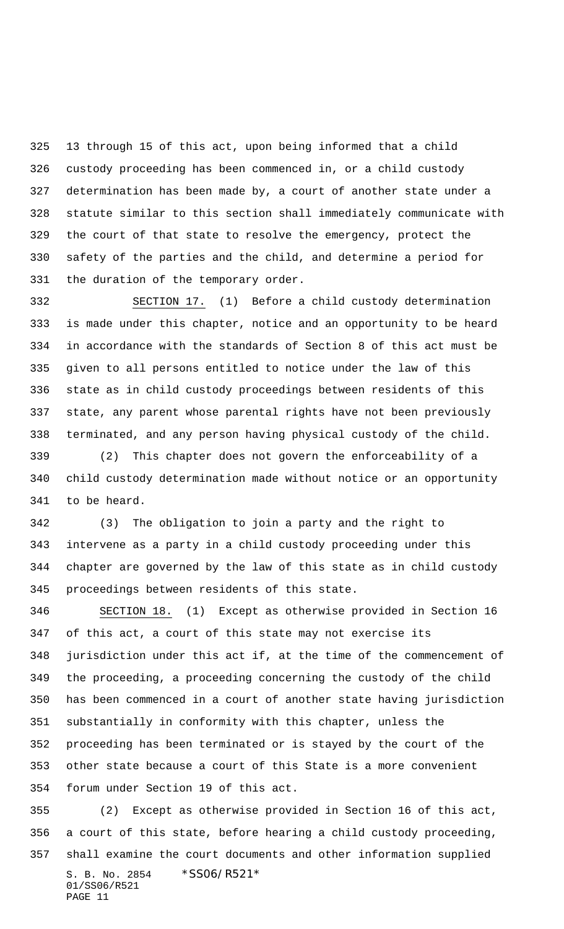13 through 15 of this act, upon being informed that a child custody proceeding has been commenced in, or a child custody determination has been made by, a court of another state under a statute similar to this section shall immediately communicate with the court of that state to resolve the emergency, protect the safety of the parties and the child, and determine a period for the duration of the temporary order.

 SECTION 17. (1) Before a child custody determination is made under this chapter, notice and an opportunity to be heard in accordance with the standards of Section 8 of this act must be given to all persons entitled to notice under the law of this state as in child custody proceedings between residents of this state, any parent whose parental rights have not been previously terminated, and any person having physical custody of the child.

 (2) This chapter does not govern the enforceability of a child custody determination made without notice or an opportunity to be heard.

 (3) The obligation to join a party and the right to intervene as a party in a child custody proceeding under this chapter are governed by the law of this state as in child custody proceedings between residents of this state.

 SECTION 18. (1) Except as otherwise provided in Section 16 of this act, a court of this state may not exercise its jurisdiction under this act if, at the time of the commencement of the proceeding, a proceeding concerning the custody of the child has been commenced in a court of another state having jurisdiction substantially in conformity with this chapter, unless the proceeding has been terminated or is stayed by the court of the other state because a court of this State is a more convenient forum under Section 19 of this act.

S. B. No. 2854 \* SS06/R521\* 01/SS06/R521 PAGE 11 (2) Except as otherwise provided in Section 16 of this act, a court of this state, before hearing a child custody proceeding, shall examine the court documents and other information supplied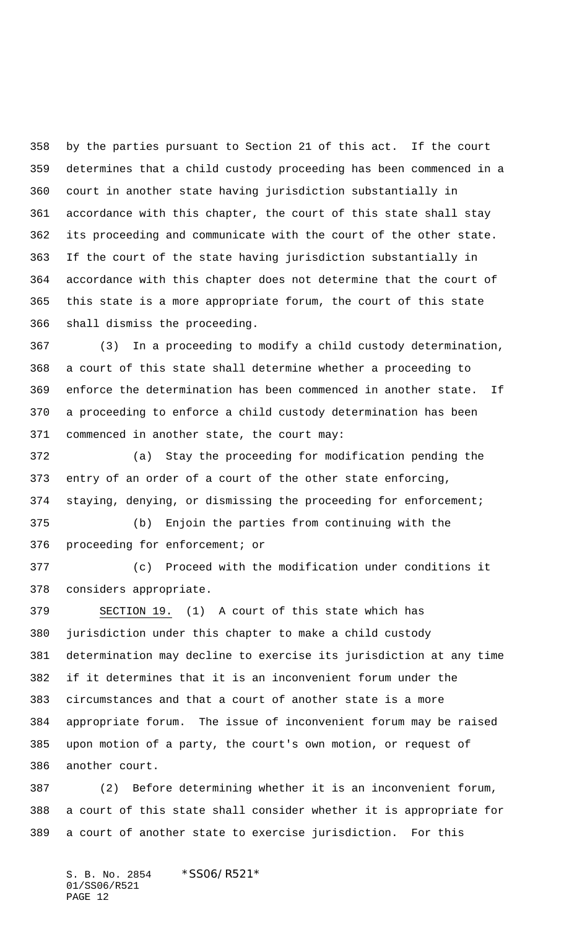by the parties pursuant to Section 21 of this act. If the court determines that a child custody proceeding has been commenced in a court in another state having jurisdiction substantially in accordance with this chapter, the court of this state shall stay its proceeding and communicate with the court of the other state. If the court of the state having jurisdiction substantially in accordance with this chapter does not determine that the court of this state is a more appropriate forum, the court of this state shall dismiss the proceeding.

 (3) In a proceeding to modify a child custody determination, a court of this state shall determine whether a proceeding to enforce the determination has been commenced in another state. If a proceeding to enforce a child custody determination has been commenced in another state, the court may:

 (a) Stay the proceeding for modification pending the entry of an order of a court of the other state enforcing, staying, denying, or dismissing the proceeding for enforcement;

 (b) Enjoin the parties from continuing with the proceeding for enforcement; or

 (c) Proceed with the modification under conditions it considers appropriate.

 SECTION 19. (1) A court of this state which has jurisdiction under this chapter to make a child custody determination may decline to exercise its jurisdiction at any time if it determines that it is an inconvenient forum under the circumstances and that a court of another state is a more appropriate forum. The issue of inconvenient forum may be raised upon motion of a party, the court's own motion, or request of another court.

 (2) Before determining whether it is an inconvenient forum, a court of this state shall consider whether it is appropriate for a court of another state to exercise jurisdiction. For this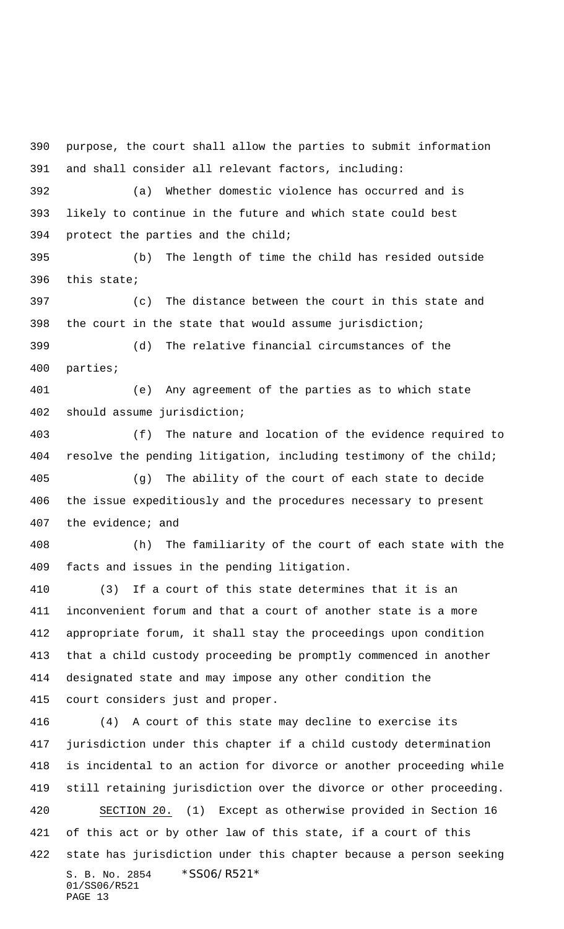S. B. No. 2854 \* SS06/R521\* 01/SS06/R521 PAGE 13 purpose, the court shall allow the parties to submit information and shall consider all relevant factors, including: (a) Whether domestic violence has occurred and is likely to continue in the future and which state could best protect the parties and the child; (b) The length of time the child has resided outside this state; (c) The distance between the court in this state and the court in the state that would assume jurisdiction; (d) The relative financial circumstances of the parties; (e) Any agreement of the parties as to which state should assume jurisdiction; (f) The nature and location of the evidence required to resolve the pending litigation, including testimony of the child; (g) The ability of the court of each state to decide the issue expeditiously and the procedures necessary to present the evidence; and (h) The familiarity of the court of each state with the facts and issues in the pending litigation. (3) If a court of this state determines that it is an inconvenient forum and that a court of another state is a more appropriate forum, it shall stay the proceedings upon condition that a child custody proceeding be promptly commenced in another designated state and may impose any other condition the court considers just and proper. (4) A court of this state may decline to exercise its jurisdiction under this chapter if a child custody determination is incidental to an action for divorce or another proceeding while still retaining jurisdiction over the divorce or other proceeding. SECTION 20. (1) Except as otherwise provided in Section 16 of this act or by other law of this state, if a court of this state has jurisdiction under this chapter because a person seeking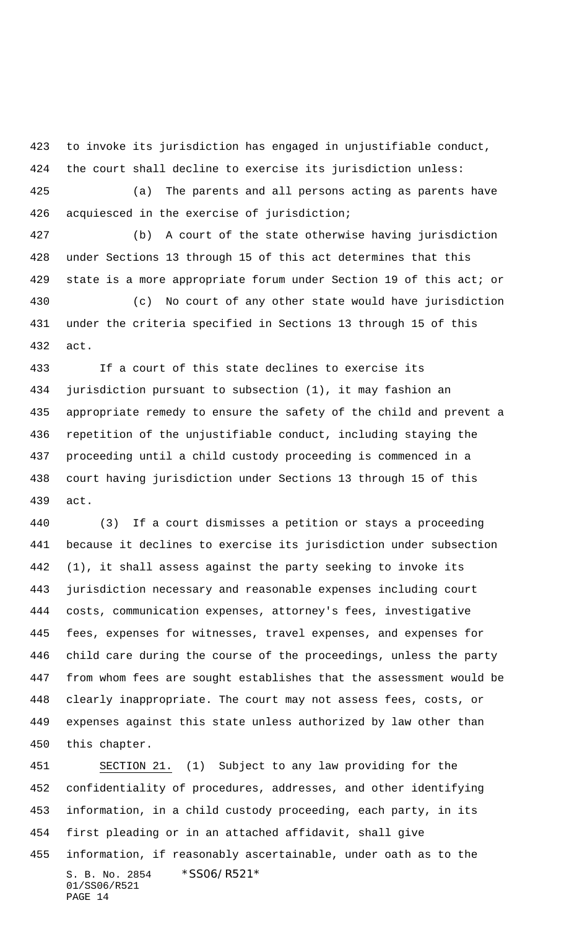to invoke its jurisdiction has engaged in unjustifiable conduct, the court shall decline to exercise its jurisdiction unless:

 (a) The parents and all persons acting as parents have acquiesced in the exercise of jurisdiction;

 (b) A court of the state otherwise having jurisdiction under Sections 13 through 15 of this act determines that this state is a more appropriate forum under Section 19 of this act; or

 (c) No court of any other state would have jurisdiction under the criteria specified in Sections 13 through 15 of this act.

 If a court of this state declines to exercise its jurisdiction pursuant to subsection (1), it may fashion an appropriate remedy to ensure the safety of the child and prevent a repetition of the unjustifiable conduct, including staying the proceeding until a child custody proceeding is commenced in a court having jurisdiction under Sections 13 through 15 of this act.

 (3) If a court dismisses a petition or stays a proceeding because it declines to exercise its jurisdiction under subsection (1), it shall assess against the party seeking to invoke its jurisdiction necessary and reasonable expenses including court costs, communication expenses, attorney's fees, investigative fees, expenses for witnesses, travel expenses, and expenses for child care during the course of the proceedings, unless the party from whom fees are sought establishes that the assessment would be clearly inappropriate. The court may not assess fees, costs, or expenses against this state unless authorized by law other than this chapter.

S. B. No. 2854 \* SS06/R521\* 01/SS06/R521 PAGE 14 SECTION 21. (1) Subject to any law providing for the confidentiality of procedures, addresses, and other identifying information, in a child custody proceeding, each party, in its first pleading or in an attached affidavit, shall give information, if reasonably ascertainable, under oath as to the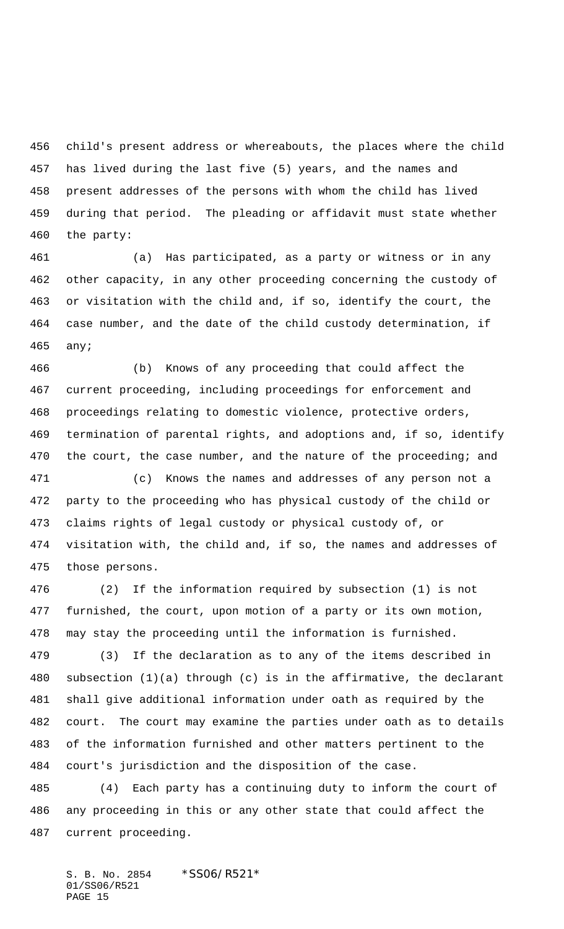child's present address or whereabouts, the places where the child has lived during the last five (5) years, and the names and present addresses of the persons with whom the child has lived during that period. The pleading or affidavit must state whether the party:

 (a) Has participated, as a party or witness or in any other capacity, in any other proceeding concerning the custody of or visitation with the child and, if so, identify the court, the case number, and the date of the child custody determination, if any;

 (b) Knows of any proceeding that could affect the current proceeding, including proceedings for enforcement and proceedings relating to domestic violence, protective orders, termination of parental rights, and adoptions and, if so, identify 470 the court, the case number, and the nature of the proceeding; and

 (c) Knows the names and addresses of any person not a party to the proceeding who has physical custody of the child or claims rights of legal custody or physical custody of, or visitation with, the child and, if so, the names and addresses of those persons.

 (2) If the information required by subsection (1) is not furnished, the court, upon motion of a party or its own motion, may stay the proceeding until the information is furnished.

 (3) If the declaration as to any of the items described in subsection (1)(a) through (c) is in the affirmative, the declarant shall give additional information under oath as required by the court. The court may examine the parties under oath as to details of the information furnished and other matters pertinent to the court's jurisdiction and the disposition of the case.

 (4) Each party has a continuing duty to inform the court of any proceeding in this or any other state that could affect the current proceeding.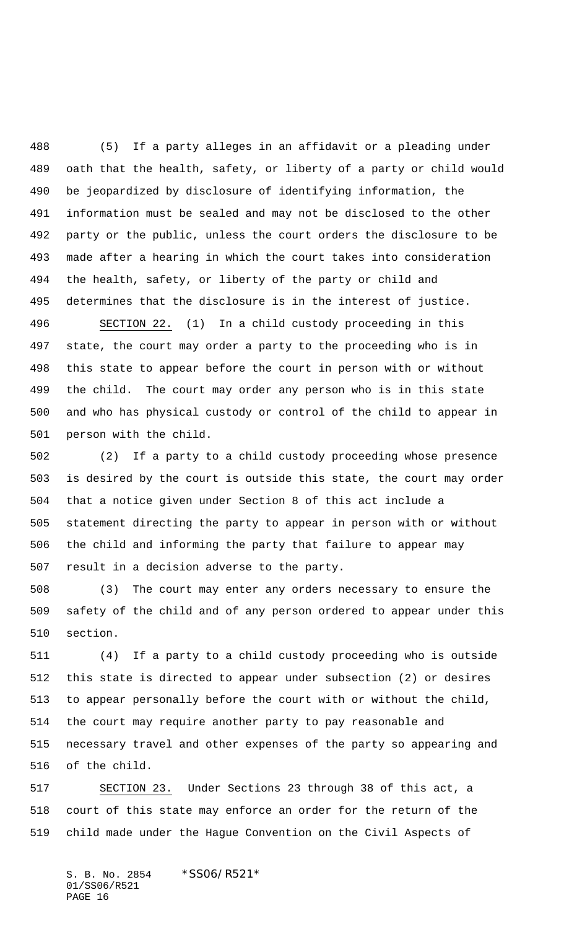(5) If a party alleges in an affidavit or a pleading under oath that the health, safety, or liberty of a party or child would be jeopardized by disclosure of identifying information, the information must be sealed and may not be disclosed to the other party or the public, unless the court orders the disclosure to be made after a hearing in which the court takes into consideration the health, safety, or liberty of the party or child and determines that the disclosure is in the interest of justice.

 SECTION 22. (1) In a child custody proceeding in this state, the court may order a party to the proceeding who is in this state to appear before the court in person with or without the child. The court may order any person who is in this state and who has physical custody or control of the child to appear in person with the child.

 (2) If a party to a child custody proceeding whose presence is desired by the court is outside this state, the court may order that a notice given under Section 8 of this act include a statement directing the party to appear in person with or without the child and informing the party that failure to appear may result in a decision adverse to the party.

 (3) The court may enter any orders necessary to ensure the safety of the child and of any person ordered to appear under this section.

 (4) If a party to a child custody proceeding who is outside this state is directed to appear under subsection (2) or desires to appear personally before the court with or without the child, the court may require another party to pay reasonable and necessary travel and other expenses of the party so appearing and of the child.

 SECTION 23. Under Sections 23 through 38 of this act, a court of this state may enforce an order for the return of the child made under the Hague Convention on the Civil Aspects of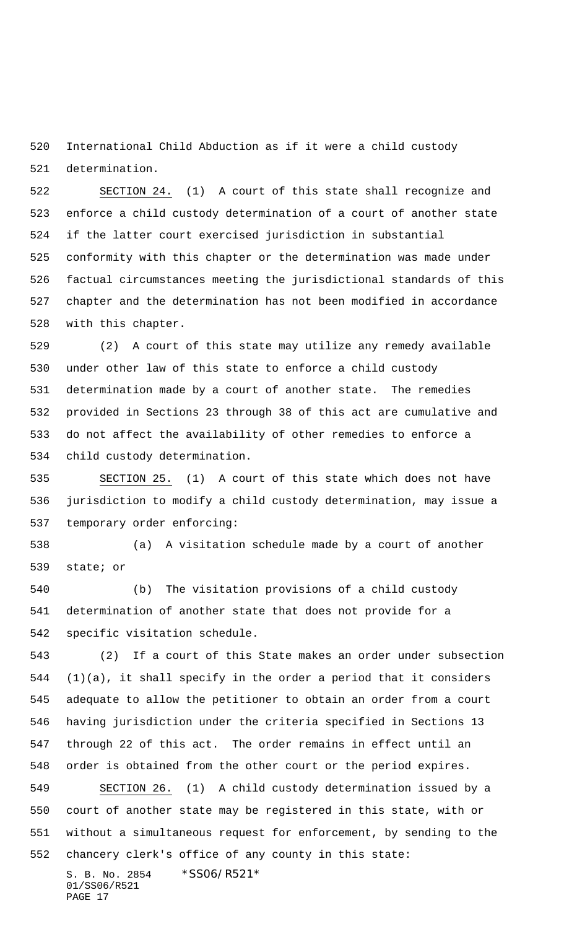International Child Abduction as if it were a child custody determination.

 SECTION 24. (1) A court of this state shall recognize and enforce a child custody determination of a court of another state if the latter court exercised jurisdiction in substantial conformity with this chapter or the determination was made under factual circumstances meeting the jurisdictional standards of this chapter and the determination has not been modified in accordance with this chapter.

 (2) A court of this state may utilize any remedy available under other law of this state to enforce a child custody determination made by a court of another state. The remedies provided in Sections 23 through 38 of this act are cumulative and do not affect the availability of other remedies to enforce a child custody determination.

 SECTION 25. (1) A court of this state which does not have jurisdiction to modify a child custody determination, may issue a temporary order enforcing:

 (a) A visitation schedule made by a court of another state; or

 (b) The visitation provisions of a child custody determination of another state that does not provide for a specific visitation schedule.

S. B. No. 2854 \* SS06/R521\* 01/SS06/R521 (2) If a court of this State makes an order under subsection (1)(a), it shall specify in the order a period that it considers adequate to allow the petitioner to obtain an order from a court having jurisdiction under the criteria specified in Sections 13 through 22 of this act. The order remains in effect until an order is obtained from the other court or the period expires. SECTION 26. (1) A child custody determination issued by a court of another state may be registered in this state, with or without a simultaneous request for enforcement, by sending to the chancery clerk's office of any county in this state:

PAGE 17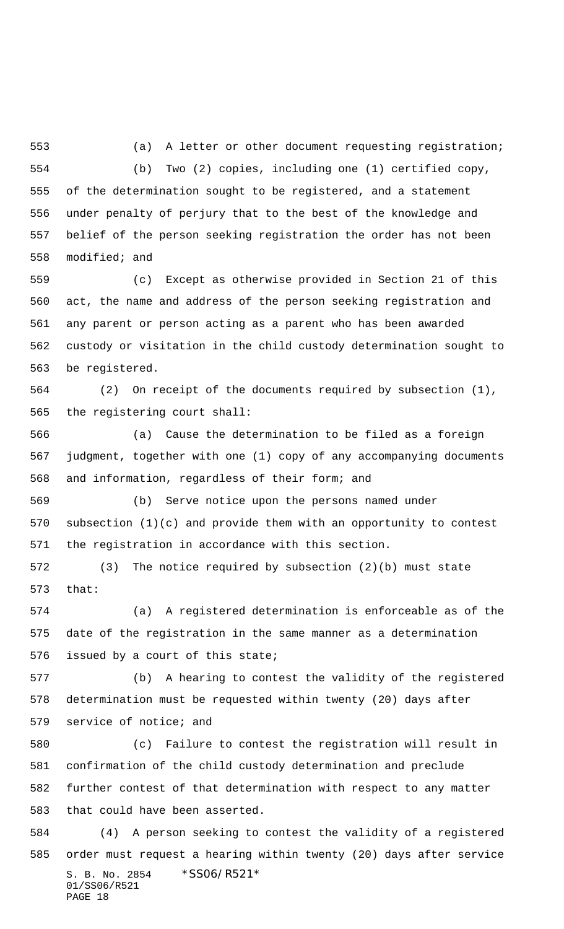(a) A letter or other document requesting registration; (b) Two (2) copies, including one (1) certified copy, of the determination sought to be registered, and a statement under penalty of perjury that to the best of the knowledge and belief of the person seeking registration the order has not been modified; and

 (c) Except as otherwise provided in Section 21 of this act, the name and address of the person seeking registration and any parent or person acting as a parent who has been awarded custody or visitation in the child custody determination sought to be registered.

 (2) On receipt of the documents required by subsection (1), the registering court shall:

 (a) Cause the determination to be filed as a foreign judgment, together with one (1) copy of any accompanying documents and information, regardless of their form; and

 (b) Serve notice upon the persons named under subsection (1)(c) and provide them with an opportunity to contest the registration in accordance with this section.

 (3) The notice required by subsection (2)(b) must state that:

 (a) A registered determination is enforceable as of the date of the registration in the same manner as a determination issued by a court of this state;

 (b) A hearing to contest the validity of the registered determination must be requested within twenty (20) days after service of notice; and

 (c) Failure to contest the registration will result in confirmation of the child custody determination and preclude further contest of that determination with respect to any matter that could have been asserted.

S. B. No. 2854 \*SS06/R521\* 01/SS06/R521 PAGE 18 (4) A person seeking to contest the validity of a registered order must request a hearing within twenty (20) days after service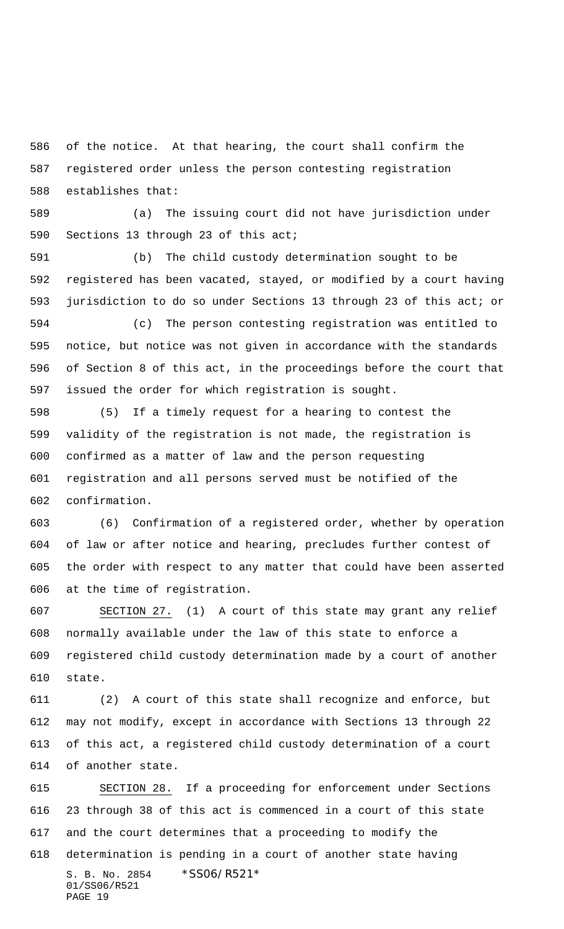of the notice. At that hearing, the court shall confirm the registered order unless the person contesting registration establishes that:

 (a) The issuing court did not have jurisdiction under Sections 13 through 23 of this act;

 (b) The child custody determination sought to be registered has been vacated, stayed, or modified by a court having jurisdiction to do so under Sections 13 through 23 of this act; or

 (c) The person contesting registration was entitled to notice, but notice was not given in accordance with the standards of Section 8 of this act, in the proceedings before the court that issued the order for which registration is sought.

 (5) If a timely request for a hearing to contest the validity of the registration is not made, the registration is confirmed as a matter of law and the person requesting registration and all persons served must be notified of the confirmation.

 (6) Confirmation of a registered order, whether by operation of law or after notice and hearing, precludes further contest of the order with respect to any matter that could have been asserted at the time of registration.

 SECTION 27. (1) A court of this state may grant any relief normally available under the law of this state to enforce a registered child custody determination made by a court of another state.

 (2) A court of this state shall recognize and enforce, but may not modify, except in accordance with Sections 13 through 22 of this act, a registered child custody determination of a court of another state.

S. B. No. 2854 \* SS06/R521\* 01/SS06/R521 PAGE 19 SECTION 28. If a proceeding for enforcement under Sections 23 through 38 of this act is commenced in a court of this state and the court determines that a proceeding to modify the determination is pending in a court of another state having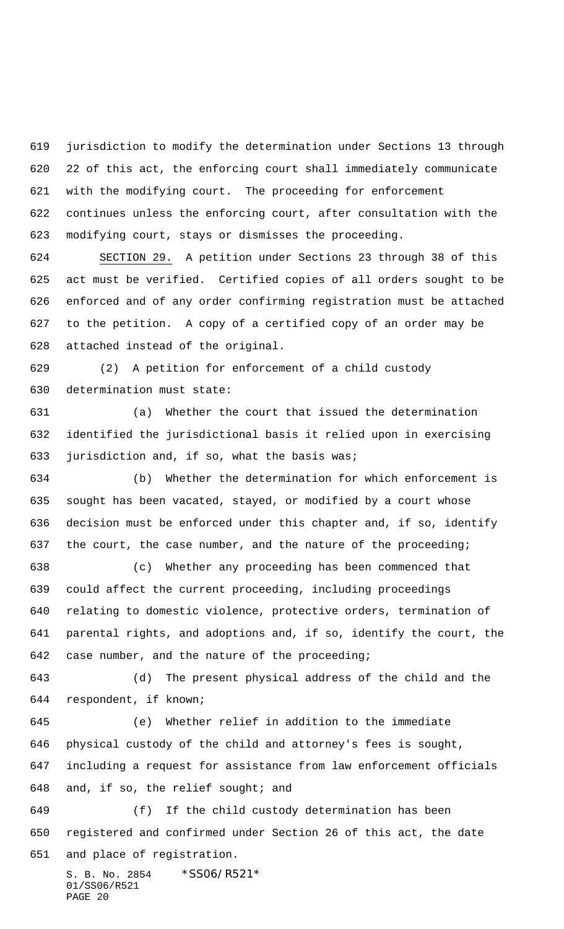jurisdiction to modify the determination under Sections 13 through 22 of this act, the enforcing court shall immediately communicate with the modifying court. The proceeding for enforcement continues unless the enforcing court, after consultation with the modifying court, stays or dismisses the proceeding.

 SECTION 29. A petition under Sections 23 through 38 of this act must be verified. Certified copies of all orders sought to be enforced and of any order confirming registration must be attached to the petition. A copy of a certified copy of an order may be attached instead of the original.

 (2) A petition for enforcement of a child custody determination must state:

 (a) Whether the court that issued the determination identified the jurisdictional basis it relied upon in exercising jurisdiction and, if so, what the basis was;

 (b) Whether the determination for which enforcement is sought has been vacated, stayed, or modified by a court whose decision must be enforced under this chapter and, if so, identify 637 the court, the case number, and the nature of the proceeding;

 (c) Whether any proceeding has been commenced that could affect the current proceeding, including proceedings relating to domestic violence, protective orders, termination of parental rights, and adoptions and, if so, identify the court, the case number, and the nature of the proceeding;

 (d) The present physical address of the child and the respondent, if known;

 (e) Whether relief in addition to the immediate physical custody of the child and attorney's fees is sought, including a request for assistance from law enforcement officials and, if so, the relief sought; and

 (f) If the child custody determination has been registered and confirmed under Section 26 of this act, the date and place of registration.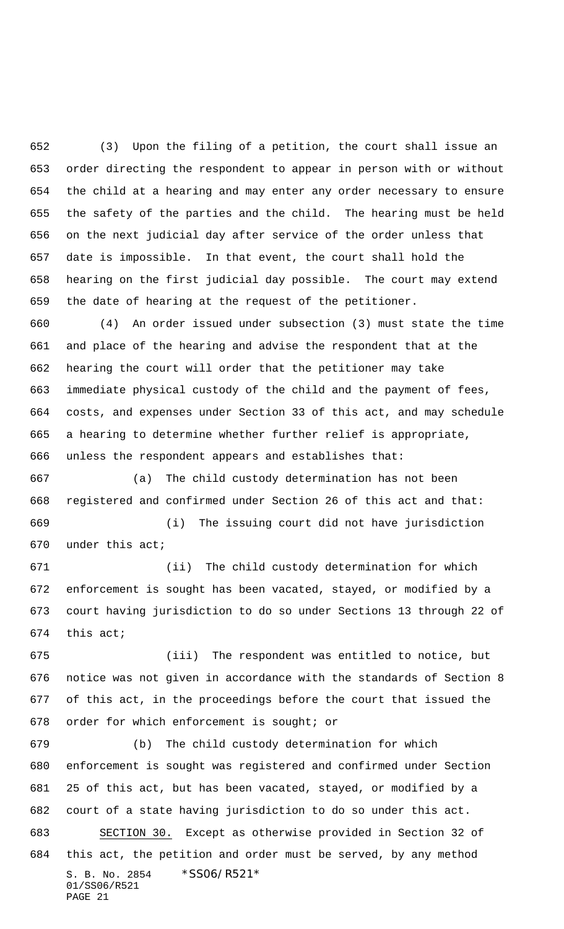(3) Upon the filing of a petition, the court shall issue an order directing the respondent to appear in person with or without the child at a hearing and may enter any order necessary to ensure the safety of the parties and the child. The hearing must be held on the next judicial day after service of the order unless that date is impossible. In that event, the court shall hold the hearing on the first judicial day possible. The court may extend the date of hearing at the request of the petitioner.

 (4) An order issued under subsection (3) must state the time and place of the hearing and advise the respondent that at the hearing the court will order that the petitioner may take immediate physical custody of the child and the payment of fees, costs, and expenses under Section 33 of this act, and may schedule a hearing to determine whether further relief is appropriate, unless the respondent appears and establishes that:

 (a) The child custody determination has not been registered and confirmed under Section 26 of this act and that: (i) The issuing court did not have jurisdiction

under this act;

 (ii) The child custody determination for which enforcement is sought has been vacated, stayed, or modified by a court having jurisdiction to do so under Sections 13 through 22 of this act;

 (iii) The respondent was entitled to notice, but notice was not given in accordance with the standards of Section 8 of this act, in the proceedings before the court that issued the order for which enforcement is sought; or

S. B. No. 2854 \* SS06/R521\* 01/SS06/R521 PAGE 21 (b) The child custody determination for which enforcement is sought was registered and confirmed under Section 25 of this act, but has been vacated, stayed, or modified by a court of a state having jurisdiction to do so under this act. SECTION 30. Except as otherwise provided in Section 32 of this act, the petition and order must be served, by any method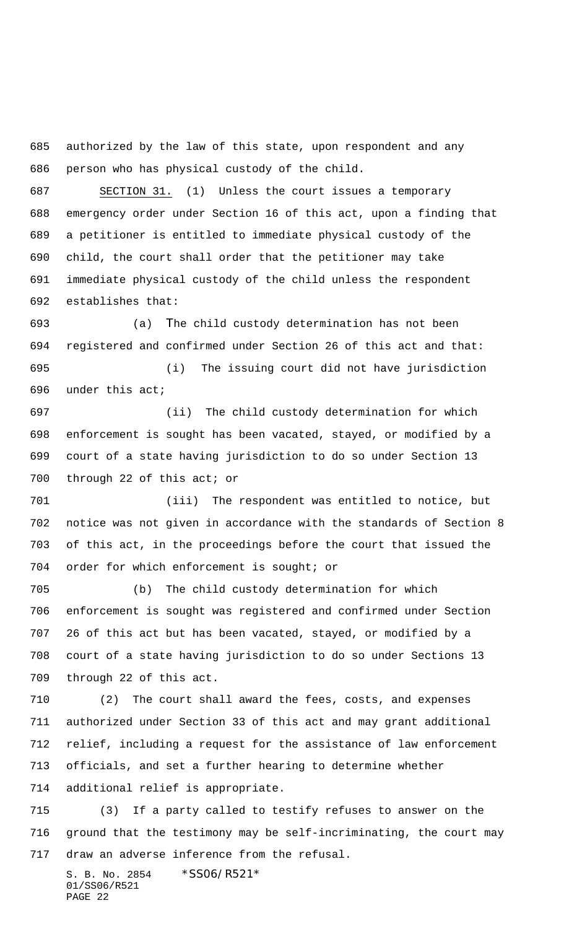authorized by the law of this state, upon respondent and any person who has physical custody of the child.

 SECTION 31. (1) Unless the court issues a temporary emergency order under Section 16 of this act, upon a finding that a petitioner is entitled to immediate physical custody of the child, the court shall order that the petitioner may take immediate physical custody of the child unless the respondent establishes that:

 (a) The child custody determination has not been registered and confirmed under Section 26 of this act and that: (i) The issuing court did not have jurisdiction

under this act;

 (ii) The child custody determination for which enforcement is sought has been vacated, stayed, or modified by a court of a state having jurisdiction to do so under Section 13 700 through 22 of this act; or

 (iii) The respondent was entitled to notice, but notice was not given in accordance with the standards of Section 8 of this act, in the proceedings before the court that issued the order for which enforcement is sought; or

 (b) The child custody determination for which enforcement is sought was registered and confirmed under Section 26 of this act but has been vacated, stayed, or modified by a court of a state having jurisdiction to do so under Sections 13 through 22 of this act.

 (2) The court shall award the fees, costs, and expenses authorized under Section 33 of this act and may grant additional relief, including a request for the assistance of law enforcement officials, and set a further hearing to determine whether additional relief is appropriate.

 (3) If a party called to testify refuses to answer on the ground that the testimony may be self-incriminating, the court may draw an adverse inference from the refusal.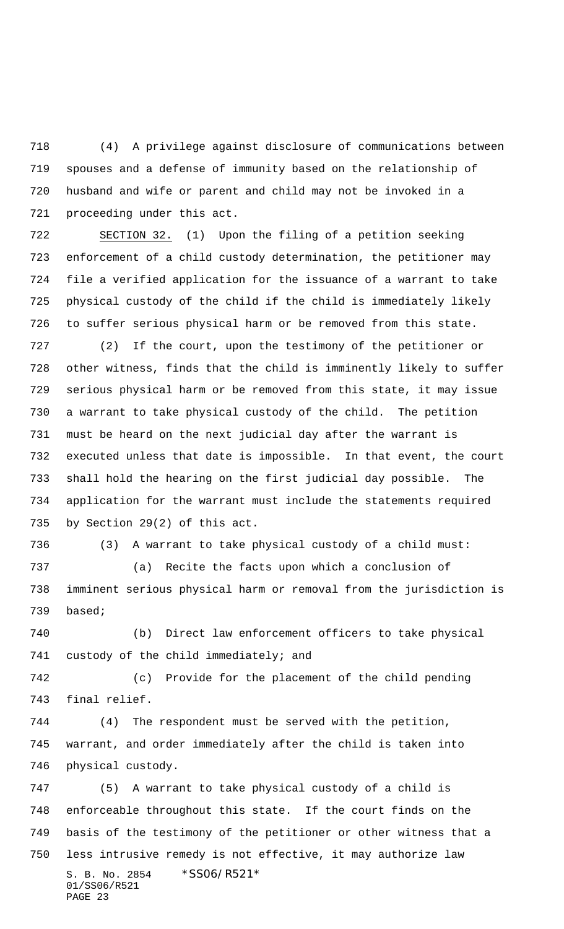(4) A privilege against disclosure of communications between spouses and a defense of immunity based on the relationship of husband and wife or parent and child may not be invoked in a proceeding under this act.

 SECTION 32. (1) Upon the filing of a petition seeking enforcement of a child custody determination, the petitioner may file a verified application for the issuance of a warrant to take physical custody of the child if the child is immediately likely to suffer serious physical harm or be removed from this state.

 (2) If the court, upon the testimony of the petitioner or other witness, finds that the child is imminently likely to suffer serious physical harm or be removed from this state, it may issue a warrant to take physical custody of the child. The petition must be heard on the next judicial day after the warrant is executed unless that date is impossible. In that event, the court shall hold the hearing on the first judicial day possible. The application for the warrant must include the statements required by Section 29(2) of this act.

 (3) A warrant to take physical custody of a child must: (a) Recite the facts upon which a conclusion of imminent serious physical harm or removal from the jurisdiction is

based;

 (b) Direct law enforcement officers to take physical custody of the child immediately; and

 (c) Provide for the placement of the child pending final relief.

 (4) The respondent must be served with the petition, warrant, and order immediately after the child is taken into physical custody.

S. B. No. 2854 \* SS06/R521\* 01/SS06/R521 PAGE 23 (5) A warrant to take physical custody of a child is enforceable throughout this state. If the court finds on the basis of the testimony of the petitioner or other witness that a less intrusive remedy is not effective, it may authorize law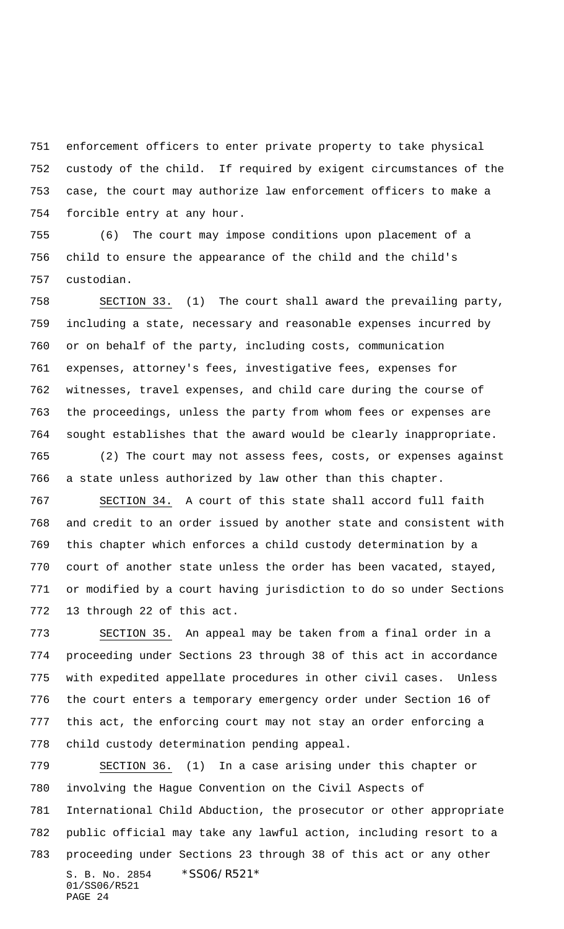enforcement officers to enter private property to take physical custody of the child. If required by exigent circumstances of the case, the court may authorize law enforcement officers to make a forcible entry at any hour.

 (6) The court may impose conditions upon placement of a child to ensure the appearance of the child and the child's custodian.

 SECTION 33. (1) The court shall award the prevailing party, including a state, necessary and reasonable expenses incurred by or on behalf of the party, including costs, communication expenses, attorney's fees, investigative fees, expenses for witnesses, travel expenses, and child care during the course of the proceedings, unless the party from whom fees or expenses are sought establishes that the award would be clearly inappropriate.

 (2) The court may not assess fees, costs, or expenses against a state unless authorized by law other than this chapter.

 SECTION 34. A court of this state shall accord full faith and credit to an order issued by another state and consistent with this chapter which enforces a child custody determination by a court of another state unless the order has been vacated, stayed, or modified by a court having jurisdiction to do so under Sections 13 through 22 of this act.

 SECTION 35. An appeal may be taken from a final order in a proceeding under Sections 23 through 38 of this act in accordance with expedited appellate procedures in other civil cases. Unless the court enters a temporary emergency order under Section 16 of this act, the enforcing court may not stay an order enforcing a child custody determination pending appeal.

S. B. No. 2854 \*SS06/R521\* 01/SS06/R521 PAGE 24 SECTION 36. (1) In a case arising under this chapter or involving the Hague Convention on the Civil Aspects of International Child Abduction, the prosecutor or other appropriate public official may take any lawful action, including resort to a proceeding under Sections 23 through 38 of this act or any other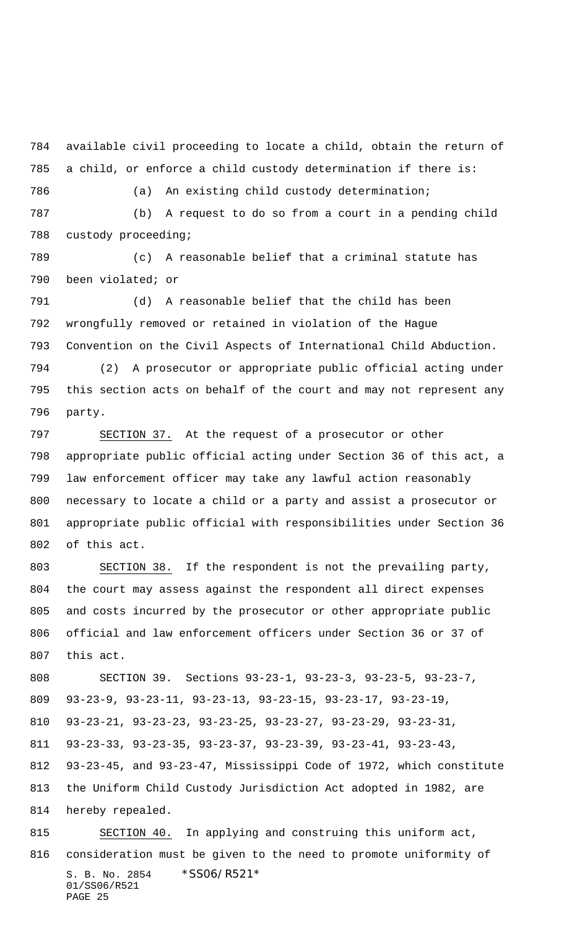available civil proceeding to locate a child, obtain the return of a child, or enforce a child custody determination if there is:

(a) An existing child custody determination;

 (b) A request to do so from a court in a pending child custody proceeding;

 (c) A reasonable belief that a criminal statute has been violated; or

 (d) A reasonable belief that the child has been wrongfully removed or retained in violation of the Hague Convention on the Civil Aspects of International Child Abduction.

 (2) A prosecutor or appropriate public official acting under this section acts on behalf of the court and may not represent any party.

 SECTION 37. At the request of a prosecutor or other appropriate public official acting under Section 36 of this act, a law enforcement officer may take any lawful action reasonably necessary to locate a child or a party and assist a prosecutor or appropriate public official with responsibilities under Section 36 of this act.

 SECTION 38. If the respondent is not the prevailing party, the court may assess against the respondent all direct expenses and costs incurred by the prosecutor or other appropriate public official and law enforcement officers under Section 36 or 37 of this act.

 SECTION 39. Sections 93-23-1, 93-23-3, 93-23-5, 93-23-7, 93-23-9, 93-23-11, 93-23-13, 93-23-15, 93-23-17, 93-23-19, 93-23-21, 93-23-23, 93-23-25, 93-23-27, 93-23-29, 93-23-31, 93-23-33, 93-23-35, 93-23-37, 93-23-39, 93-23-41, 93-23-43, 93-23-45, and 93-23-47, Mississippi Code of 1972, which constitute the Uniform Child Custody Jurisdiction Act adopted in 1982, are hereby repealed.

S. B. No. 2854 \* SS06/R521\* 01/SS06/R521 PAGE 25 SECTION 40. In applying and construing this uniform act, consideration must be given to the need to promote uniformity of